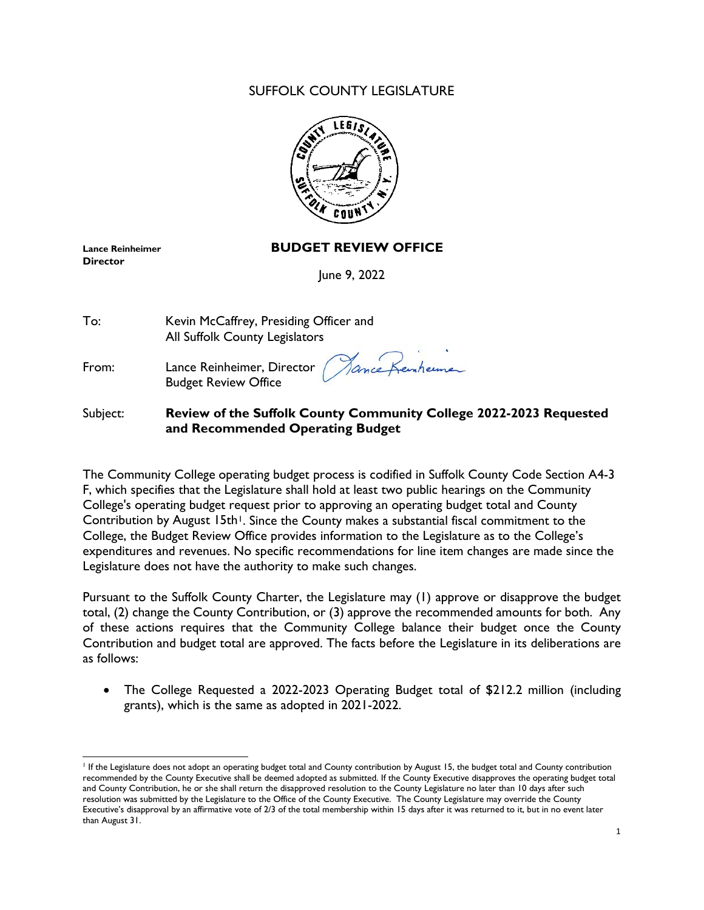## SUFFOLK COUNTY LEGISLATURE



**Director**

## **Lance Reinheimer BUDGET REVIEW OFFICE**

June 9, 2022

| To:   | Kevin McCaffrey, Presiding Officer and<br>All Suffolk County Legislators  |
|-------|---------------------------------------------------------------------------|
| From: | Lance Reinheimer, Director (Mance Kemherme<br><b>Budget Review Office</b> |

### Subject: **Review of the Suffolk County Community College 2022-2023 Requested and Recommended Operating Budget**

The Community College operating budget process is codified in Suffolk County Code Section A4-3 F, which specifies that the Legislature shall hold at least two public hearings on the Community College's operating budget request prior to approving an operating budget total and County Contribution by August [1](#page-0-0)5th<sup>1</sup>. Since the County makes a substantial fiscal commitment to the College, the Budget Review Office provides information to the Legislature as to the College's expenditures and revenues. No specific recommendations for line item changes are made since the Legislature does not have the authority to make such changes.

Pursuant to the Suffolk County Charter, the Legislature may (1) approve or disapprove the budget total, (2) change the County Contribution, or (3) approve the recommended amounts for both. Any of these actions requires that the Community College balance their budget once the County Contribution and budget total are approved. The facts before the Legislature in its deliberations are as follows:

• The College Requested a 2022-2023 Operating Budget total of \$212.2 million (including grants), which is the same as adopted in 2021-2022.

<span id="page-0-0"></span> $\overline{a}$ <sup>1</sup> If the Legislature does not adopt an operating budget total and County contribution by August 15, the budget total and County contribution recommended by the County Executive shall be deemed adopted as submitted. If the County Executive disapproves the operating budget total and County Contribution, he or she shall return the disapproved resolution to the County Legislature no later than 10 days after such resolution was submitted by the Legislature to the Office of the County Executive. The County Legislature may override the County Executive's disapproval by an affirmative vote of 2/3 of the total membership within 15 days after it was returned to it, but in no event later than August 31.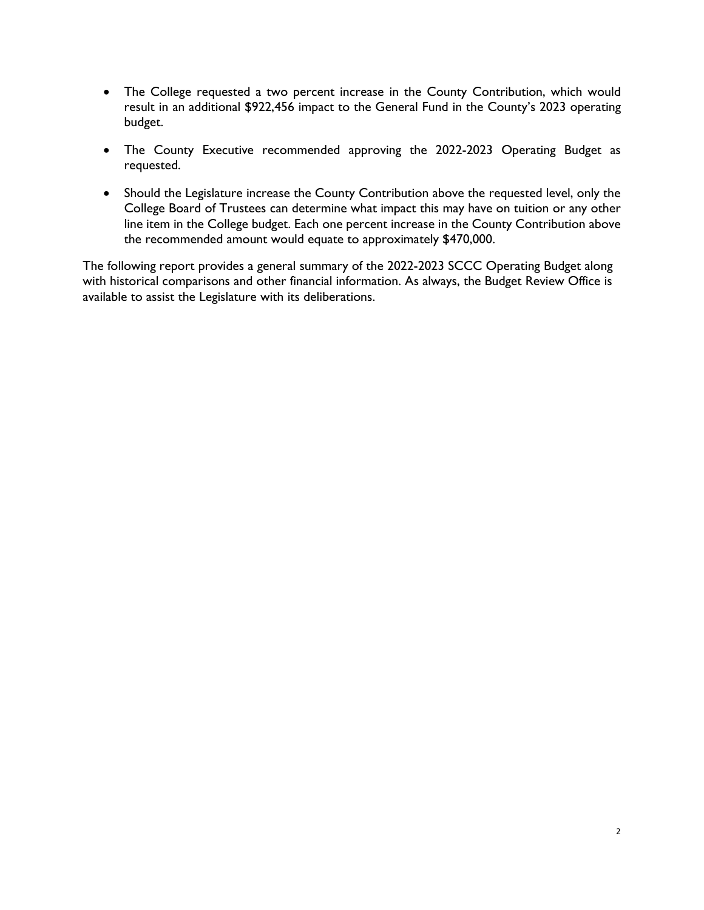- The College requested a two percent increase in the County Contribution, which would result in an additional \$922,456 impact to the General Fund in the County's 2023 operating budget.
- The County Executive recommended approving the 2022-2023 Operating Budget as requested.
- Should the Legislature increase the County Contribution above the requested level, only the College Board of Trustees can determine what impact this may have on tuition or any other line item in the College budget. Each one percent increase in the County Contribution above the recommended amount would equate to approximately \$470,000.

The following report provides a general summary of the 2022-2023 SCCC Operating Budget along with historical comparisons and other financial information. As always, the Budget Review Office is available to assist the Legislature with its deliberations.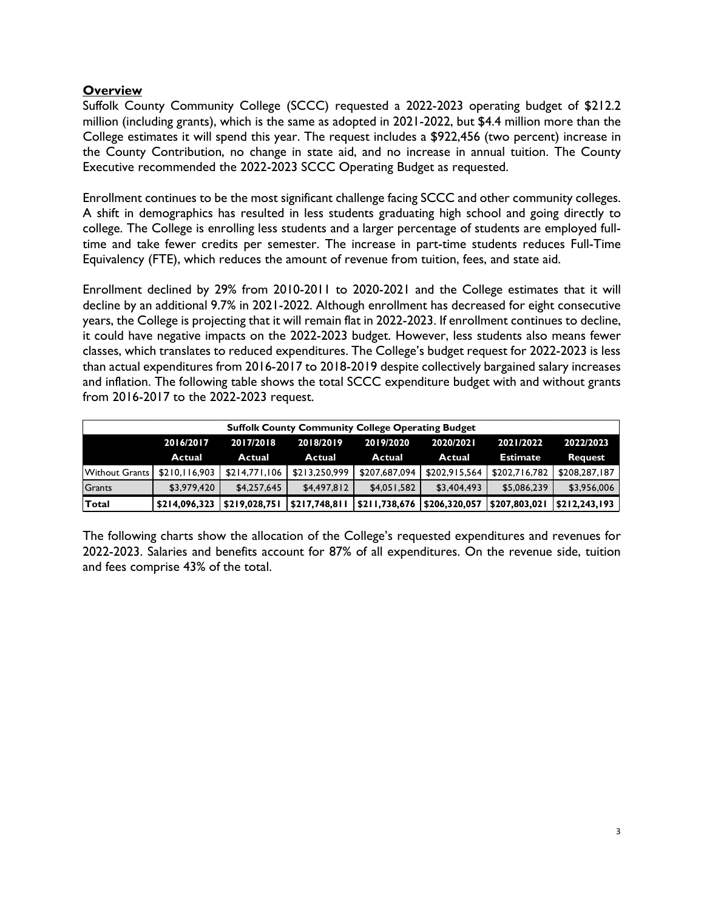## **Overview**

Suffolk County Community College (SCCC) requested a 2022-2023 operating budget of \$212.2 million (including grants), which is the same as adopted in 2021-2022, but \$4.4 million more than the College estimates it will spend this year. The request includes a \$922,456 (two percent) increase in the County Contribution, no change in state aid, and no increase in annual tuition. The County Executive recommended the 2022-2023 SCCC Operating Budget as requested.

Enrollment continues to be the most significant challenge facing SCCC and other community colleges. A shift in demographics has resulted in less students graduating high school and going directly to college. The College is enrolling less students and a larger percentage of students are employed fulltime and take fewer credits per semester. The increase in part-time students reduces Full-Time Equivalency (FTE), which reduces the amount of revenue from tuition, fees, and state aid.

Enrollment declined by 29% from 2010-2011 to 2020-2021 and the College estimates that it will decline by an additional 9.7% in 2021-2022. Although enrollment has decreased for eight consecutive years, the College is projecting that it will remain flat in 2022-2023. If enrollment continues to decline, it could have negative impacts on the 2022-2023 budget. However, less students also means fewer classes, which translates to reduced expenditures. The College's budget request for 2022-2023 is less than actual expenditures from 2016-2017 to 2018-2019 despite collectively bargained salary increases and inflation. The following table shows the total SCCC expenditure budget with and without grants from 2016-2017 to the 2022-2023 request.

| <b>Suffolk County Community College Operating Budget</b> |                                                                                         |               |               |                             |               |                 |                |  |  |
|----------------------------------------------------------|-----------------------------------------------------------------------------------------|---------------|---------------|-----------------------------|---------------|-----------------|----------------|--|--|
|                                                          | 2017/2018<br>2018/2019<br>2022/2023<br>2019/2020<br>2021/2022<br>2020/2021<br>2016/2017 |               |               |                             |               |                 |                |  |  |
|                                                          | <b>Actual</b>                                                                           | Actual        | Actual        | Actual                      | Actual        | <b>Estimate</b> | <b>Request</b> |  |  |
| Without Grants                                           | \$210.116.903                                                                           | \$214,771,106 | \$213,250,999 | \$207,687,094               | \$202,915,564 | \$202,716,782   | \$208,287,187  |  |  |
| Grants                                                   | \$3,979,420                                                                             | \$4,257,645   | \$4,497,812   | \$4,051,582                 | \$3,404,493   | \$5,086,239     | \$3,956,006    |  |  |
| Total                                                    | \$214,096,323 \$219,028,751                                                             |               | \$217,748,811 | \$211,738,676 \$206,320,057 |               | \$207,803,021   | \$212,243,193  |  |  |

The following charts show the allocation of the College's requested expenditures and revenues for 2022-2023. Salaries and benefits account for 87% of all expenditures. On the revenue side, tuition and fees comprise 43% of the total.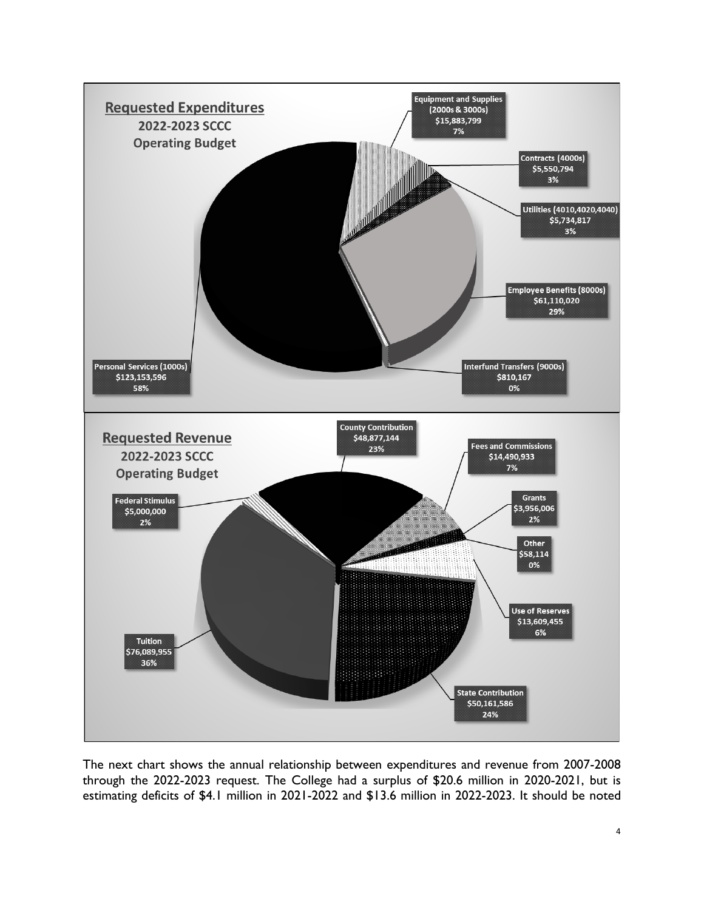

The next chart shows the annual relationship between expenditures and revenue from 2007-2008 through the 2022-2023 request. The College had a surplus of \$20.6 million in 2020-2021, but is estimating deficits of \$4.1 million in 2021-2022 and \$13.6 million in 2022-2023. It should be noted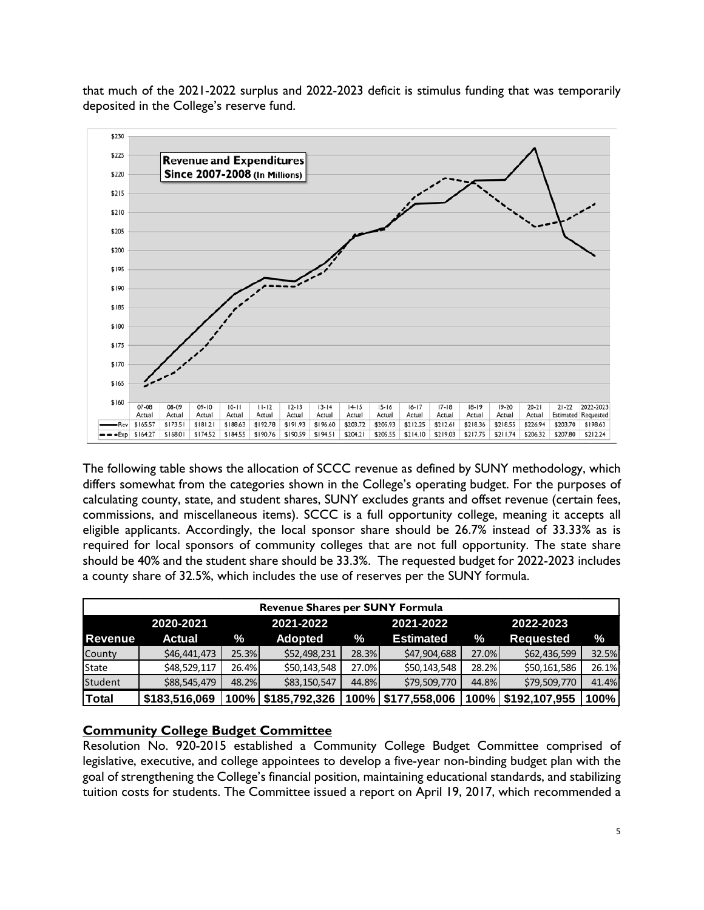that much of the 2021-2022 surplus and 2022-2023 deficit is stimulus funding that was temporarily deposited in the College's reserve fund.



The following table shows the allocation of SCCC revenue as defined by SUNY methodology, which differs somewhat from the categories shown in the College's operating budget. For the purposes of calculating county, state, and student shares, SUNY excludes grants and offset revenue (certain fees, commissions, and miscellaneous items). SCCC is a full opportunity college, meaning it accepts all eligible applicants. Accordingly, the local sponsor share should be 26.7% instead of 33.33% as is required for local sponsors of community colleges that are not full opportunity. The state share should be 40% and the student share should be 33.3%. The requested budget for 2022-2023 includes a county share of 32.5%, which includes the use of reserves per the SUNY formula.

| <b>Revenue Shares per SUNY Formula</b> |                                                  |       |               |       |                  |       |                  |       |  |  |
|----------------------------------------|--------------------------------------------------|-------|---------------|-------|------------------|-------|------------------|-------|--|--|
|                                        | 2020-2021<br>2021-2022<br>2021-2022<br>2022-2023 |       |               |       |                  |       |                  |       |  |  |
| l Revenue                              | <b>Actual</b>                                    | ℅     | Adopted       | ℅     | <b>Estimated</b> | $\%$  | <b>Requested</b> | ℅     |  |  |
| County                                 | \$46,441,473                                     | 25.3% | \$52,498,231  | 28.3% | \$47,904,688     | 27.0% | \$62,436,599     | 32.5% |  |  |
| State                                  | \$48,529,117                                     | 26.4% | \$50,143,548  | 27.0% | \$50,143,548     | 28.2% | \$50,161,586     | 26.1% |  |  |
| Student                                | \$88,545,479                                     | 48.2% | \$83,150,547  | 44.8% | \$79,509,770     | 44.8% | \$79,509,770     | 41.4% |  |  |
| <b>Total</b>                           | \$183,516,069                                    | 100%  | \$185,792,326 | 100%  | \$177,558,006    | 100%  | \$192,107,955    | 100%  |  |  |

### **Community College Budget Committee**

Resolution No. 920-2015 established a Community College Budget Committee comprised of legislative, executive, and college appointees to develop a five-year non-binding budget plan with the goal of strengthening the College's financial position, maintaining educational standards, and stabilizing tuition costs for students. The Committee issued a report on April 19, 2017, which recommended a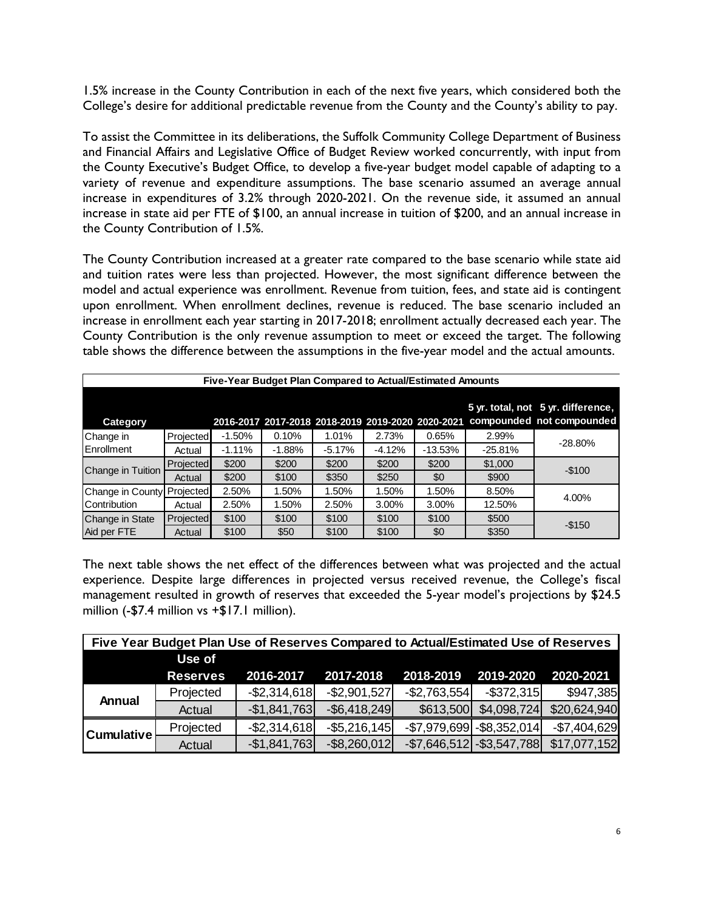1.5% increase in the County Contribution in each of the next five years, which considered both the College's desire for additional predictable revenue from the County and the County's ability to pay.

To assist the Committee in its deliberations, the Suffolk Community College Department of Business and Financial Affairs and Legislative Office of Budget Review worked concurrently, with input from the County Executive's Budget Office, to develop a five-year budget model capable of adapting to a variety of revenue and expenditure assumptions. The base scenario assumed an average annual increase in expenditures of 3.2% through 2020-2021. On the revenue side, it assumed an annual increase in state aid per FTE of \$100, an annual increase in tuition of \$200, and an annual increase in the County Contribution of 1.5%.

The County Contribution increased at a greater rate compared to the base scenario while state aid and tuition rates were less than projected. However, the most significant difference between the model and actual experience was enrollment. Revenue from tuition, fees, and state aid is contingent upon enrollment. When enrollment declines, revenue is reduced. The base scenario included an increase in enrollment each year starting in 2017-2018; enrollment actually decreased each year. The County Contribution is the only revenue assumption to meet or exceed the target. The following table shows the difference between the assumptions in the five-year model and the actual amounts.

|                            | Five-Year Budget Plan Compared to Actual/Estimated Amounts |           |          |          |          |           |           |                                                                                                                   |  |
|----------------------------|------------------------------------------------------------|-----------|----------|----------|----------|-----------|-----------|-------------------------------------------------------------------------------------------------------------------|--|
| <b>Category</b>            |                                                            |           |          |          |          |           |           | 5 yr. total, not 5 yr. difference,<br>2016-2017 2017-2018 2018-2019 2019-2020 2020-2021 compounded not compounded |  |
| Change in                  | Projected                                                  | $-1.50\%$ | 0.10%    | 1.01%    | 2.73%    | 0.65%     | 2.99%     | $-28.80%$                                                                                                         |  |
| Enrollment                 | Actual                                                     | $-1.11%$  | $-1.88%$ | $-5.17%$ | $-4.12%$ | $-13.53%$ | $-25.81%$ |                                                                                                                   |  |
| Change in Tuition          | Projected                                                  | \$200     | \$200    | \$200    | \$200    | \$200     | \$1,000   | $-$100$                                                                                                           |  |
|                            | Actual                                                     | \$200     | \$100    | \$350    | \$250    | \$0       | \$900     |                                                                                                                   |  |
| Change in County Projected |                                                            | 2.50%     | 1.50%    | 1.50%    | 1.50%    | 1.50%     | 8.50%     | 4.00%                                                                                                             |  |
| Contribution               | Actual                                                     | 2.50%     | 1.50%    | 2.50%    | 3.00%    | 3.00%     | 12.50%    |                                                                                                                   |  |
| Change in State            | Projected                                                  | \$100     | \$100    | \$100    | \$100    | \$100     | \$500     | $-$150$                                                                                                           |  |
| Aid per FTE                | Actual                                                     | \$100     | \$50     | \$100    | \$100    | \$0       | \$350     |                                                                                                                   |  |

The next table shows the net effect of the differences between what was projected and the actual experience. Despite large differences in projected versus received revenue, the College's fiscal management resulted in growth of reserves that exceeded the 5-year model's projections by \$24.5 million (-\$7.4 million vs +\$17.1 million).

| Five Year Budget Plan Use of Reserves Compared to Actual/Estimated Use of Reserves |                 |                 |                 |                 |                                 |               |  |  |
|------------------------------------------------------------------------------------|-----------------|-----------------|-----------------|-----------------|---------------------------------|---------------|--|--|
|                                                                                    | Use of          |                 |                 |                 |                                 |               |  |  |
|                                                                                    | <b>Reserves</b> | 2016-2017       | 2017-2018       | 2018-2019       | 2019-2020                       | 2020-2021     |  |  |
| <b>Annual</b>                                                                      | Projected       | $-$ \$2,314,618 | $-$ \$2,901,527 | $-$ \$2,763,554 | $-$ \$372,315                   | \$947,385     |  |  |
|                                                                                    | Actual          | $-$1,841,763$   | $-$ \$6,418,249 | \$613,500       | \$4,098,724]                    | \$20,624,940  |  |  |
| <b>Cumulative</b>                                                                  | Projected       | $-$ \$2,314,618 | $-$ \$5,216,145 |                 | $-$ \$7,979,699 $-$ \$8,352,014 | $-$7,404,629$ |  |  |
|                                                                                    | Actual          | $-$1,841,763$   | $-$ \$8,260,012 |                 | $-$7,646,512$ $-$3,547,788$     | \$17,077,152  |  |  |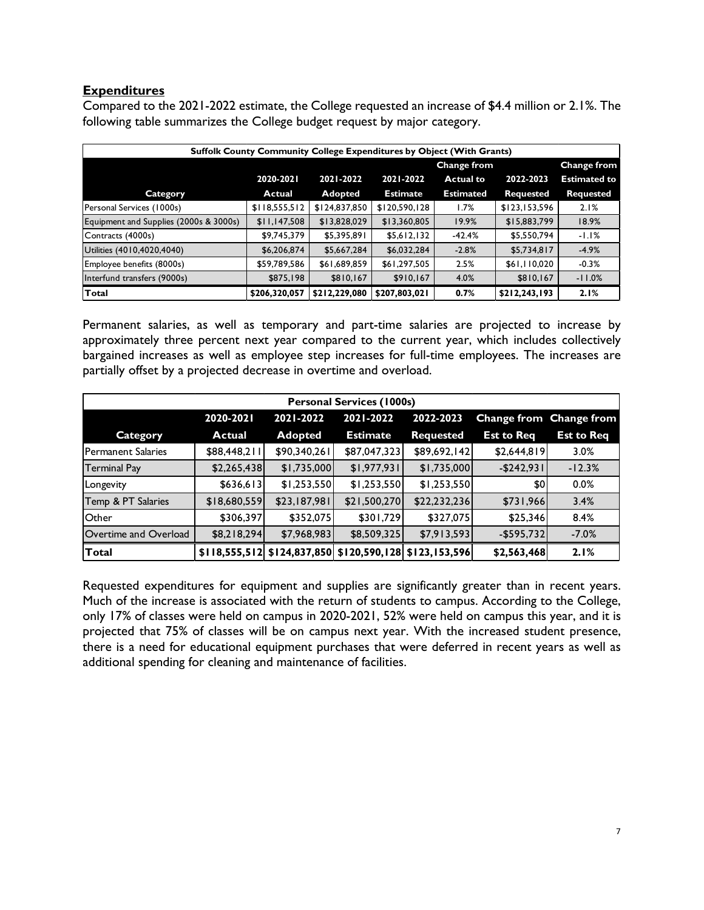### **Expenditures**

Compared to the 2021-2022 estimate, the College requested an increase of \$4.4 million or 2.1%. The following table summarizes the College budget request by major category.

| <b>Suffolk County Community College Expenditures by Object (With Grants)</b> |               |               |                                   |                  |                  |                     |  |  |
|------------------------------------------------------------------------------|---------------|---------------|-----------------------------------|------------------|------------------|---------------------|--|--|
|                                                                              |               |               | Change from<br><b>Change from</b> |                  |                  |                     |  |  |
|                                                                              | 2020-2021     | 2021-2022     | 2021-2022                         | <b>Actual to</b> | 2022-2023        | <b>Estimated to</b> |  |  |
| <b>Category</b>                                                              | Actual        | Adopted       | <b>Estimate</b>                   | <b>Estimated</b> | <b>Requested</b> | <b>Requested</b>    |  |  |
| Personal Services (1000s)                                                    | \$118,555,512 | \$124,837,850 | \$120,590,128                     | 1.7%             | \$123,153,596    | 2.1%                |  |  |
| Equipment and Supplies (2000s & 3000s)                                       | \$11,147,508  | \$13,828,029  | \$13,360,805                      | 19.9%            | \$15,883,799     | 18.9%               |  |  |
| Contracts (4000s)                                                            | \$9,745,379   | \$5,395,891   | \$5,612,132                       | -42.4%           | \$5,550,794      | $-1.1%$             |  |  |
| Utilities (4010,4020,4040)                                                   | \$6,206,874   | \$5,667,284   | \$6,032,284                       | $-2.8%$          | \$5,734,817      | $-4.9%$             |  |  |
| Employee benefits (8000s)                                                    | \$59,789,586  | \$61,689,859  | \$61,297,505                      | 2.5%             | \$61,110,020     | $-0.3%$             |  |  |
| Interfund transfers (9000s)                                                  | \$875,198     | \$810,167     | \$910,167                         | 4.0%             | \$810,167        | $-11.0%$            |  |  |
| Total                                                                        | \$206,320,057 | \$212,229,080 | \$207,803,021                     | 0.7%             | \$212,243,193    | 2.1%                |  |  |

Permanent salaries, as well as temporary and part-time salaries are projected to increase by approximately three percent next year compared to the current year, which includes collectively bargained increases as well as employee step increases for full-time employees. The increases are partially offset by a projected decrease in overtime and overload.

| <b>Personal Services (1000s)</b>                                            |               |                |                 |                                                             |                   |                   |  |  |  |
|-----------------------------------------------------------------------------|---------------|----------------|-----------------|-------------------------------------------------------------|-------------------|-------------------|--|--|--|
| 2021-2022<br>2021-2022<br>2022-2023<br>2020-2021<br>Change from Change from |               |                |                 |                                                             |                   |                   |  |  |  |
| Category                                                                    | <b>Actual</b> | <b>Adopted</b> | <b>Estimate</b> | <b>Requested</b>                                            | <b>Est to Req</b> | <b>Est to Req</b> |  |  |  |
| <b>Permanent Salaries</b>                                                   | \$88,448,211  | \$90,340,261   | \$87,047,323    | \$89,692,142                                                | \$2,644,819       | 3.0%              |  |  |  |
| <b>Terminal Pay</b>                                                         | \$2,265,438   | \$1,735,000    | \$1,977,931     | \$1,735,000                                                 | $-$ \$242,931     | $-12.3%$          |  |  |  |
| Longevity                                                                   | \$636,613     | \$1,253,550    | \$1,253,550     | \$1,253,550                                                 | \$0               | $0.0\%$           |  |  |  |
| Temp & PT Salaries                                                          | \$18,680,559  | \$23,187,981   | \$21,500,270    | \$22,232,236                                                | \$731,966         | 3.4%              |  |  |  |
| Other                                                                       | \$306,397     | \$352,075      | \$301,729       | \$327,075                                                   | \$25,346          | 8.4%              |  |  |  |
| Overtime and Overload                                                       | \$8,218,294   | \$7,968,983    | \$8,509,325     | \$7,913,593                                                 | $-$ \$595,732     | $-7.0%$           |  |  |  |
| Total                                                                       |               |                |                 | $$118,555,512$ $$124,837,850$ $$120,590,128$ $$123,153,596$ | \$2,563,468       | 2.1%              |  |  |  |

Requested expenditures for equipment and supplies are significantly greater than in recent years. Much of the increase is associated with the return of students to campus. According to the College, only 17% of classes were held on campus in 2020-2021, 52% were held on campus this year, and it is projected that 75% of classes will be on campus next year. With the increased student presence, there is a need for educational equipment purchases that were deferred in recent years as well as additional spending for cleaning and maintenance of facilities.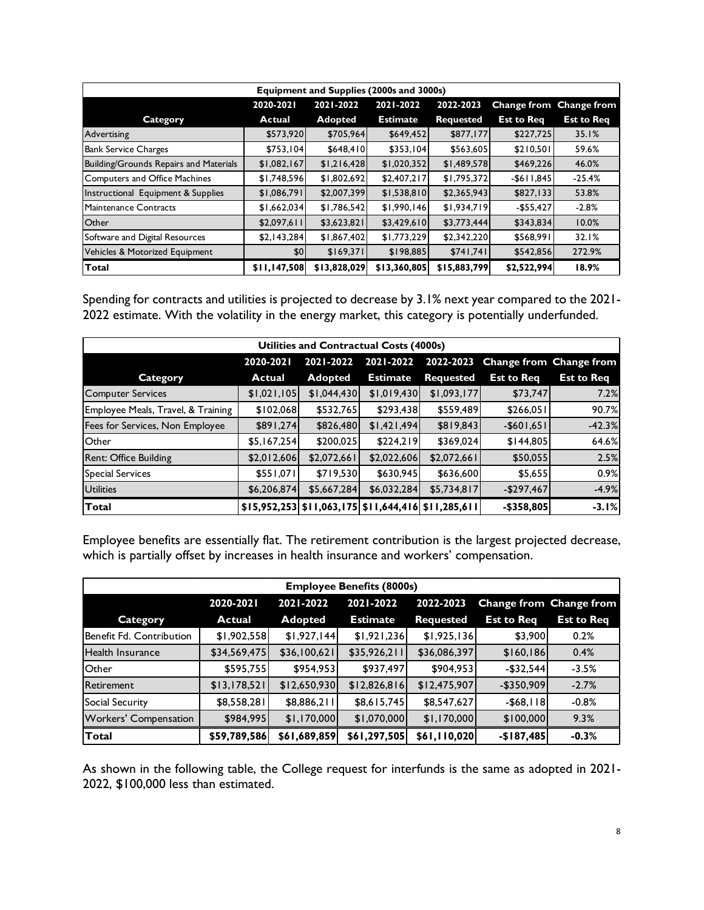|                                        | Equipment and Supplies (2000s and 3000s) |                |                 |                  |                   |                         |  |  |  |  |
|----------------------------------------|------------------------------------------|----------------|-----------------|------------------|-------------------|-------------------------|--|--|--|--|
|                                        | 2020-2021                                | 2021-2022      | 2021-2022       | 2022-2023        |                   | Change from Change from |  |  |  |  |
| <b>Category</b>                        | <b>Actual</b>                            | <b>Adopted</b> | <b>Estimate</b> | <b>Requested</b> | <b>Est to Reg</b> | <b>Est to Req</b>       |  |  |  |  |
| Advertising                            | \$573,920                                | \$705,964      | \$649,452       | \$877,177        | \$227,725         | 35.1%                   |  |  |  |  |
| <b>Bank Service Charges</b>            | \$753.104                                | \$648,410      | \$353,104       | \$563,605        | \$210,501         | 59.6%                   |  |  |  |  |
| Building/Grounds Repairs and Materials | \$1,082,167                              | \$1,216,428    | \$1,020,352     | \$1,489,578      | \$469,226         | 46.0%                   |  |  |  |  |
| Computers and Office Machines          | \$1,748,596                              | \$1,802,692    | \$2,407,217     | \$1,795,372      | $-$611,845$       | $-25.4%$                |  |  |  |  |
| Instructional Equipment & Supplies     | \$1,086,791                              | \$2,007,399    | \$1,538,810     | \$2,365,943      | \$827,133         | 53.8%                   |  |  |  |  |
| Maintenance Contracts                  | \$1,662,034                              | \$1,786,542    | \$1,990,146     | \$1,934,719      | $-$55,427$        | $-2.8%$                 |  |  |  |  |
| Other                                  | \$2,097,611                              | \$3,623,821    | \$3,429,610     | \$3,773,444      | \$343,834         | 10.0%                   |  |  |  |  |
| Software and Digital Resources         | \$2,143,284                              | \$1,867,402    | \$1,773,229     | \$2,342,220      | \$568,991         | 32.1%                   |  |  |  |  |
| Vehicles & Motorized Equipment         | \$0                                      | \$169,371      | \$198,885       | \$741,741        | \$542,856         | 272.9%                  |  |  |  |  |
| Total                                  | \$11,147,508                             | \$13,828,029   | \$13,360,805    | \$15,883,799     | \$2,522,994       | 18.9%                   |  |  |  |  |

Spending for contracts and utilities is projected to decrease by 3.1% next year compared to the 2021- 2022 estimate. With the volatility in the energy market, this category is potentially underfunded.

| Utilities and Contractual Costs (4000s) |               |                |                                                     |                  |                   |                         |  |  |
|-----------------------------------------|---------------|----------------|-----------------------------------------------------|------------------|-------------------|-------------------------|--|--|
|                                         | 2020-2021     | 2021-2022      | 2021-2022                                           | 2022-2023        |                   | Change from Change from |  |  |
| Category                                | <b>Actual</b> | <b>Adopted</b> | <b>Estimate</b>                                     | <b>Requested</b> | <b>Est to Reg</b> | <b>Est to Req</b>       |  |  |
| <b>Computer Services</b>                | \$1,021,105   | \$1,044,430    | \$1,019,430                                         | \$1,093,177      | \$73,747          | 7.2%                    |  |  |
| Employee Meals, Travel, & Training      | \$102,068     | \$532,765      | \$293,438                                           | \$559,489        | \$266,051         | 90.7%                   |  |  |
| Fees for Services, Non Employee         | \$891,274     | \$826,480      | \$1,421,494]                                        | \$819,843        | $-$ \$601,651     | $-42.3%$                |  |  |
| Other                                   | \$5,167,254   | \$200,025      | \$224,219                                           | \$369,024        | \$144,805         | 64.6%                   |  |  |
| Rent: Office Building                   | \$2,012,606   | \$2,072,661    | \$2,022,606                                         | \$2,072,661      | \$50,055          | 2.5%                    |  |  |
| Special Services                        | \$551,071     | \$719,530      | \$630,945                                           | \$636,600        | \$5,655           | 0.9%                    |  |  |
| <b>Utilities</b>                        | \$6,206,874   | \$5,667,284    | \$6,032,284                                         | \$5,734,817      | $-$297,467$       | $-4.9%$                 |  |  |
| Total                                   |               |                | \$15,952,253 \$11,063,175 \$11,644,416 \$11,285,611 |                  | $-$ \$358,805     | $-3.1%$                 |  |  |

Employee benefits are essentially flat. The retirement contribution is the largest projected decrease, which is partially offset by increases in health insurance and workers' compensation.

| <b>Employee Benefits (8000s)</b>                                            |               |                |                 |                  |                   |                   |  |  |  |
|-----------------------------------------------------------------------------|---------------|----------------|-----------------|------------------|-------------------|-------------------|--|--|--|
| 2021-2022<br>2021-2022<br>2022-2023<br>Change from Change from<br>2020-2021 |               |                |                 |                  |                   |                   |  |  |  |
| Category                                                                    | <b>Actual</b> | <b>Adopted</b> | <b>Estimate</b> | <b>Requested</b> | <b>Est to Reg</b> | <b>Est to Req</b> |  |  |  |
| Benefit Fd. Contribution                                                    | \$1,902,558   | \$1,927,144    | \$1,921,236     | \$1,925,136      | \$3,900           | 0.2%              |  |  |  |
| lHealth Insurance                                                           | \$34,569,475  | \$36,100,621   | \$35,926,211    | \$36,086,397     | \$160,186         | 0.4%              |  |  |  |
| Other                                                                       | \$595,755     | \$954,953      | \$937,497       | \$904,953        | $-$ \$32,544      | $-3.5%$           |  |  |  |
| <b>Retirement</b>                                                           | \$13,178,521  | \$12,650,930   | \$12,826,816    | \$12,475,907     | $-$ \$350,909     | $-2.7%$           |  |  |  |
| Social Security                                                             | \$8,558,281   | \$8,886,211    | \$8,615,745     | \$8,547,627      | $-$ \$68, $ $   8 | $-0.8%$           |  |  |  |
| <b>Workers' Compensation</b>                                                | \$984,995     | \$1,170,000    | \$1,070,000     | \$1,170,000      | \$100,000         | 9.3%              |  |  |  |
| <b>Total</b>                                                                | \$59,789,586  | \$61,689,859   | \$61,297,505    | \$61,110,020     | $-$187,485$       | $-0.3%$           |  |  |  |

As shown in the following table, the College request for interfunds is the same as adopted in 2021- 2022, \$100,000 less than estimated.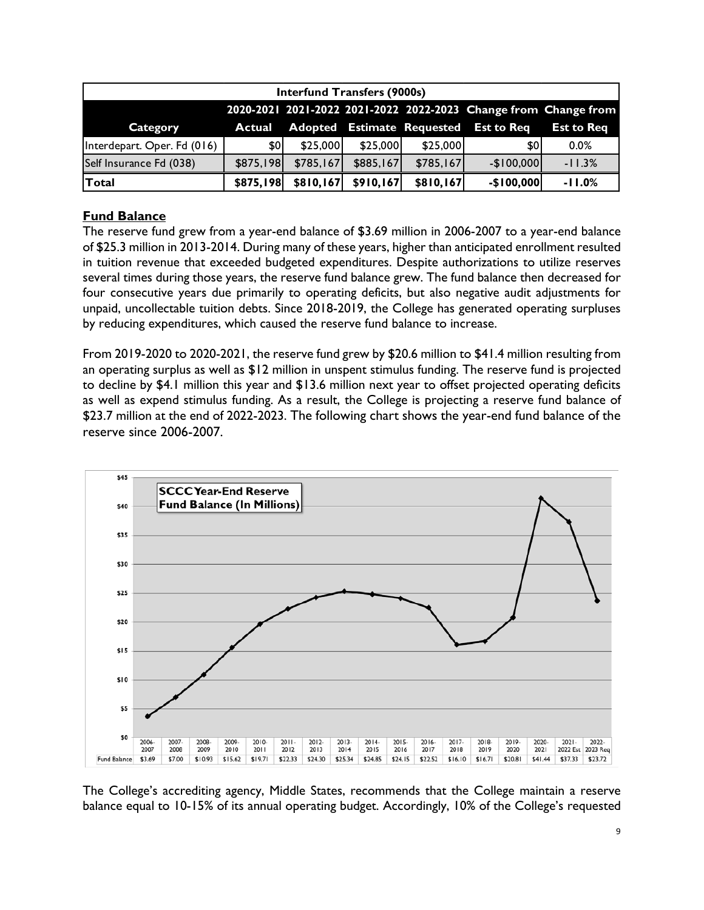| <b>Interfund Transfers (9000s)</b>                              |                  |           |           |                                   |                   |                   |  |  |
|-----------------------------------------------------------------|------------------|-----------|-----------|-----------------------------------|-------------------|-------------------|--|--|
| 2020-2021 2021-2022 2021-2022 2022-2023 Change from Change from |                  |           |           |                                   |                   |                   |  |  |
| Category                                                        | Actual           |           |           | <b>Adopted Estimate Requested</b> | <b>Est to Req</b> | <b>Est to Req</b> |  |  |
| Interdepart. Oper. Fd (016)                                     | \$0 <sub>0</sub> | \$25,000  | \$25,000  | \$25,000                          | \$0               | $0.0\%$           |  |  |
| Self Insurance Fd (038)                                         | \$875,198        | \$785,167 | \$885,167 | \$785,167                         | $-$100,000$       | $-11.3%$          |  |  |
| <b>Total</b>                                                    | \$875,198        | \$810,167 | \$910,167 | \$810,167                         | $-$100,000$       | $-11.0%$          |  |  |

# **Fund Balance**

The reserve fund grew from a year-end balance of \$3.69 million in 2006-2007 to a year-end balance of \$25.3 million in 2013-2014. During many of these years, higher than anticipated enrollment resulted in tuition revenue that exceeded budgeted expenditures. Despite authorizations to utilize reserves several times during those years, the reserve fund balance grew. The fund balance then decreased for four consecutive years due primarily to operating deficits, but also negative audit adjustments for unpaid, uncollectable tuition debts. Since 2018-2019, the College has generated operating surpluses by reducing expenditures, which caused the reserve fund balance to increase.

From 2019-2020 to 2020-2021, the reserve fund grew by \$20.6 million to \$41.4 million resulting from an operating surplus as well as \$12 million in unspent stimulus funding. The reserve fund is projected to decline by \$4.1 million this year and \$13.6 million next year to offset projected operating deficits as well as expend stimulus funding. As a result, the College is projecting a reserve fund balance of \$23.7 million at the end of 2022-2023. The following chart shows the year-end fund balance of the reserve since 2006-2007.



The College's accrediting agency, Middle States, recommends that the College maintain a reserve balance equal to 10-15% of its annual operating budget. Accordingly, 10% of the College's requested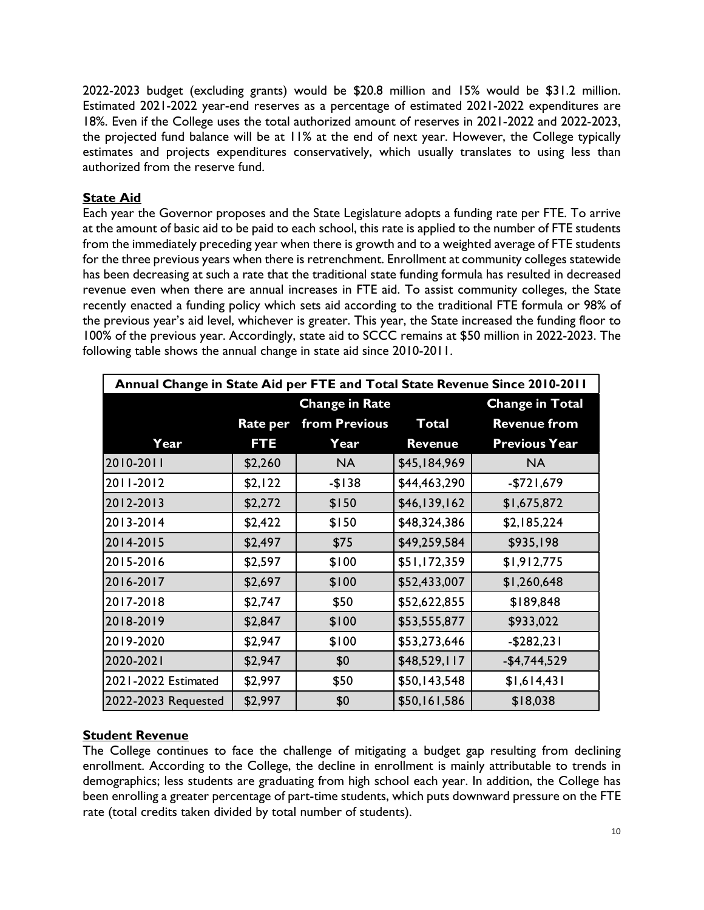2022-2023 budget (excluding grants) would be \$20.8 million and 15% would be \$31.2 million. Estimated 2021-2022 year-end reserves as a percentage of estimated 2021-2022 expenditures are 18%. Even if the College uses the total authorized amount of reserves in 2021-2022 and 2022-2023, the projected fund balance will be at 11% at the end of next year. However, the College typically estimates and projects expenditures conservatively, which usually translates to using less than authorized from the reserve fund.

# **State Aid**

Each year the Governor proposes and the State Legislature adopts a funding rate per FTE. To arrive at the amount of basic aid to be paid to each school, this rate is applied to the number of FTE students from the immediately preceding year when there is growth and to a weighted average of FTE students for the three previous years when there is retrenchment. Enrollment at community colleges statewide has been decreasing at such a rate that the traditional state funding formula has resulted in decreased revenue even when there are annual increases in FTE aid. To assist community colleges, the State recently enacted a funding policy which sets aid according to the traditional FTE formula or 98% of the previous year's aid level, whichever is greater. This year, the State increased the funding floor to 100% of the previous year. Accordingly, state aid to SCCC remains at \$50 million in 2022-2023. The following table shows the annual change in state aid since 2010-2011.

| Annual Change in State Aid per FTE and Total State Revenue Since 2010-2011 |          |                       |                |                        |  |  |  |  |
|----------------------------------------------------------------------------|----------|-----------------------|----------------|------------------------|--|--|--|--|
|                                                                            |          | <b>Change in Rate</b> |                | <b>Change in Total</b> |  |  |  |  |
|                                                                            | Rate per | from Previous         | <b>Total</b>   | <b>Revenue from</b>    |  |  |  |  |
| Year                                                                       | FT E     | Year                  | <b>Revenue</b> | <b>Previous Year</b>   |  |  |  |  |
| 2010-2011                                                                  | \$2,260  | <b>NA</b>             | \$45,184,969   | <b>NA</b>              |  |  |  |  |
| 2011-2012                                                                  | \$2,122  | $-$138$               | \$44,463,290   | $-$721,679$            |  |  |  |  |
| 2012-2013                                                                  | \$2,272  | \$150                 | \$46,139,162   | \$1,675,872            |  |  |  |  |
| 2013-2014                                                                  | \$2,422  | \$150                 | \$48,324,386   | \$2,185,224            |  |  |  |  |
| 2014-2015                                                                  | \$2,497  | \$75                  | \$49,259,584   | \$935,198              |  |  |  |  |
| 2015-2016                                                                  | \$2,597  | \$100                 | \$51,172,359   | \$1,912,775            |  |  |  |  |
| 2016-2017                                                                  | \$2,697  | \$100                 | \$52,433,007   | \$1,260,648            |  |  |  |  |
| 2017-2018                                                                  | \$2,747  | \$50                  | \$52,622,855   | \$189,848              |  |  |  |  |
| 2018-2019                                                                  | \$2,847  | \$100                 | \$53,555,877   | \$933,022              |  |  |  |  |
| 2019-2020                                                                  | \$2,947  | \$100                 | \$53,273,646   | $-$ \$282,231          |  |  |  |  |
| 2020-2021                                                                  | \$2,947  | \$0                   | \$48,529,117   | $-$4,744,529$          |  |  |  |  |
| 2021-2022 Estimated                                                        | \$2,997  | \$50                  | \$50,143,548   | \$1,614,431            |  |  |  |  |
| 2022-2023 Requested                                                        | \$2,997  | \$0                   | \$50,161,586   | \$18,038               |  |  |  |  |

# **Student Revenue**

The College continues to face the challenge of mitigating a budget gap resulting from declining enrollment. According to the College, the decline in enrollment is mainly attributable to trends in demographics; less students are graduating from high school each year. In addition, the College has been enrolling a greater percentage of part-time students, which puts downward pressure on the FTE rate (total credits taken divided by total number of students).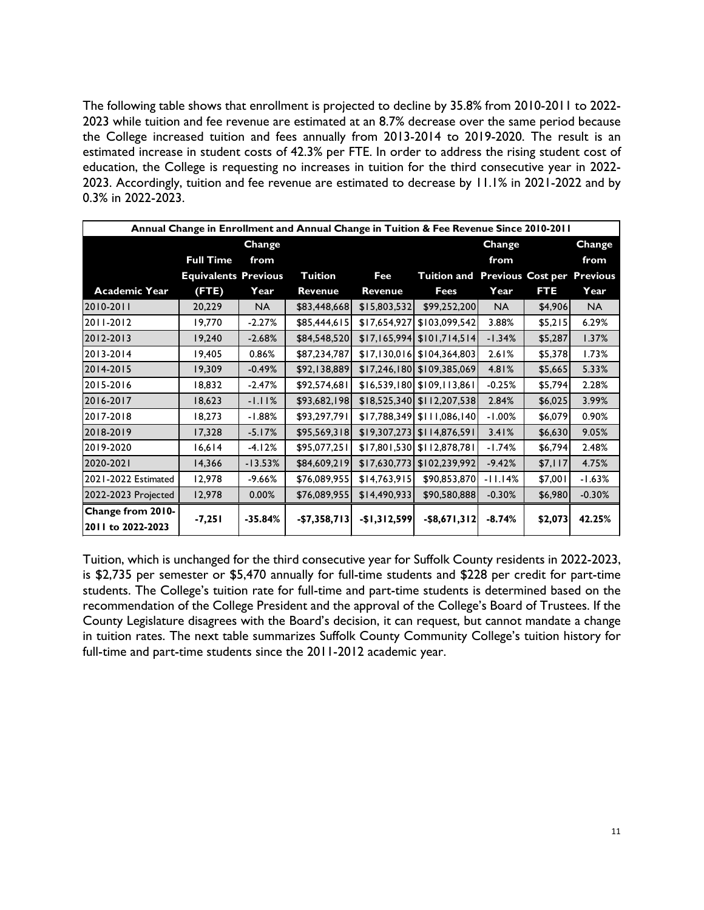The following table shows that enrollment is projected to decline by 35.8% from 2010-2011 to 2022- 2023 while tuition and fee revenue are estimated at an 8.7% decrease over the same period because the College increased tuition and fees annually from 2013-2014 to 2019-2020. The result is an estimated increase in student costs of 42.3% per FTE. In order to address the rising student cost of education, the College is requesting no increases in tuition for the third consecutive year in 2022- 2023. Accordingly, tuition and fee revenue are estimated to decrease by 11.1% in 2021-2022 and by 0.3% in 2022-2023.

| Annual Change in Enrollment and Annual Change in Tuition & Fee Revenue Since 2010-2011 |                             |           |                |               |                                        |           |         |          |  |
|----------------------------------------------------------------------------------------|-----------------------------|-----------|----------------|---------------|----------------------------------------|-----------|---------|----------|--|
|                                                                                        |                             | Change    |                |               |                                        | Change    |         | Change   |  |
|                                                                                        | <b>Full Time</b>            | from      |                |               |                                        | from      |         | from     |  |
|                                                                                        | <b>Equivalents Previous</b> |           | Tuition        | Fee           | Tuition and Previous Cost per Previous |           |         |          |  |
| <b>Academic Year</b>                                                                   | (FTE)                       | Year      | <b>Revenue</b> | Revenue       | Fees                                   | Year      | FTE     | Year     |  |
| 2010-2011                                                                              | 20,229                      | NA.       | \$83,448,668   | \$15,803,532  | \$99,252,200                           | <b>NA</b> | \$4,906 | NA.      |  |
| 2011-2012                                                                              | 19,770                      | $-2.27%$  | \$85,444,615   | \$17,654,927  | \$103,099,542                          | 3.88%     | \$5,215 | 6.29%    |  |
| 2012-2013                                                                              | 19,240                      | $-2.68%$  | \$84,548,520   |               | $$17,165,994$ $$101,714,514$           | $-1.34%$  | \$5,287 | 1.37%    |  |
| 2013-2014                                                                              | 19,405                      | 0.86%     | \$87,234,787   |               | $$17,130,016$ $$104,364,803$           | 2.61%     | \$5,378 | 1.73%    |  |
| 12014-2015                                                                             | 19,309                      | $-0.49%$  | \$92,138,889   |               | \$17,246,180 \$109,385,069             | 4.81%     | \$5,665 | 5.33%    |  |
| 2015-2016                                                                              | 18,832                      | $-2.47%$  | \$92,574,681   |               | \$16,539,180 \$109,113,861             | $-0.25%$  | \$5,794 | 2.28%    |  |
| 2016-2017                                                                              | 18,623                      | $-1.11%$  | \$93,682,198   |               | \$18,525,340 \$112,207,538             | 2.84%     | \$6,025 | 3.99%    |  |
| 12017-2018                                                                             | 18,273                      | $-1.88%$  | \$93,297,791   |               | $$17,788,349$ $$111,086,140$           | $-1.00%$  | \$6,079 | 0.90%    |  |
| 2018-2019                                                                              | 17,328                      | $-5.17%$  | \$95,569,318   | \$19,307,273  | \$114,876,591                          | 3.41%     | \$6,630 | 9.05%    |  |
| 2019-2020                                                                              | 16,614                      | $-4.12%$  | \$95,077,251   |               | \$17,801,530 \$112,878,781             | $-1.74%$  | \$6,794 | 2.48%    |  |
| 2020-2021                                                                              | 14,366                      | $-13.53%$ | \$84,609,219   | \$17,630,773] | \$102, 239, 992]                       | $-9.42%$  | \$7,117 | 4.75%    |  |
| 2021-2022 Estimated                                                                    | 12,978                      | -9.66%    | \$76,089,955   | \$14,763,915  | \$90,853,870                           | $-11.14%$ | \$7,001 | $-1.63%$ |  |
| 2022-2023 Projected                                                                    | 12,978                      | 0.00%     | \$76,089,955   | \$14,490,933  | \$90,580,888                           | $-0.30%$  | \$6,980 | $-0.30%$ |  |
| Change from 2010-                                                                      |                             |           |                |               |                                        |           |         |          |  |
| 2011 to 2022-2023                                                                      | $-7,251$                    | $-35.84%$ | $-$7,358,713$  | $-$1,312,599$ | $-$ \$8,671,312                        | $-8.74%$  | \$2,073 | 42.25%   |  |

Tuition, which is unchanged for the third consecutive year for Suffolk County residents in 2022-2023, is \$2,735 per semester or \$5,470 annually for full-time students and \$228 per credit for part-time students. The College's tuition rate for full-time and part-time students is determined based on the recommendation of the College President and the approval of the College's Board of Trustees. If the County Legislature disagrees with the Board's decision, it can request, but cannot mandate a change in tuition rates. The next table summarizes Suffolk County Community College's tuition history for full-time and part-time students since the 2011-2012 academic year.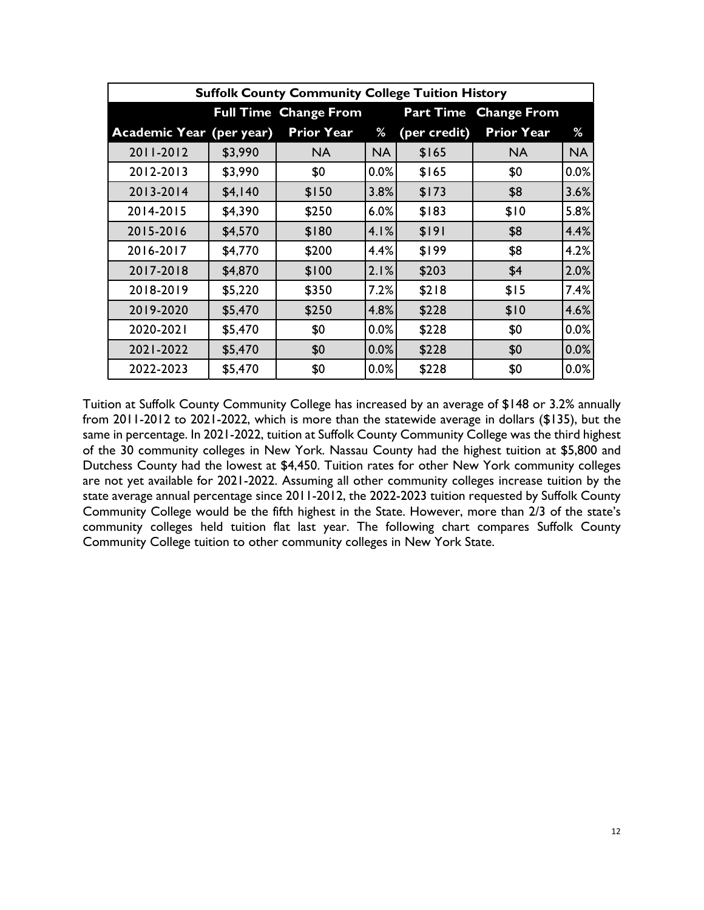|                                 | <b>Suffolk County Community College Tuition History</b>                |                   |           |              |                   |           |  |  |  |  |  |  |
|---------------------------------|------------------------------------------------------------------------|-------------------|-----------|--------------|-------------------|-----------|--|--|--|--|--|--|
|                                 | <b>Full Time Change From</b><br><b>Part Time</b><br><b>Change From</b> |                   |           |              |                   |           |  |  |  |  |  |  |
| <b>Academic Year (per year)</b> |                                                                        | <b>Prior Year</b> | %         | (per credit) | <b>Prior Year</b> | %         |  |  |  |  |  |  |
| 2011-2012                       | \$3,990                                                                | <b>NA</b>         | <b>NA</b> | \$165        | <b>NA</b>         | <b>NA</b> |  |  |  |  |  |  |
| 2012-2013                       | \$3,990                                                                | \$0               | 0.0%      | \$165        | \$0               | 0.0%      |  |  |  |  |  |  |
| 2013-2014                       | \$4,140                                                                | \$150             | 3.8%      | \$173        | \$8               | 3.6%      |  |  |  |  |  |  |
| 2014-2015                       | \$4,390                                                                | \$250             | 6.0%      | \$183        | \$10              | 5.8%      |  |  |  |  |  |  |
| 2015-2016                       | \$4,570                                                                | \$180             | 4.1%      | \$191        | \$8               | 4.4%      |  |  |  |  |  |  |
| 2016-2017                       | \$4,770                                                                | \$200             | 4.4%      | \$199        | \$8               | 4.2%      |  |  |  |  |  |  |
| 2017-2018                       | \$4,870                                                                | \$100             | 2.1%      | \$203        | \$4               | 2.0%      |  |  |  |  |  |  |
| 2018-2019                       | \$5,220                                                                | \$350             | 7.2%      | \$218        | \$15              | 7.4%      |  |  |  |  |  |  |
| 2019-2020                       | \$5,470                                                                | \$250             | 4.8%      | \$228        | \$10              | 4.6%      |  |  |  |  |  |  |
| 2020-2021                       | \$5,470                                                                | \$0               | 0.0%      | \$228        | \$0               | 0.0%      |  |  |  |  |  |  |
| 2021-2022                       | \$5,470                                                                | \$0               | 0.0%      | \$228        | \$0               | 0.0%      |  |  |  |  |  |  |
| 2022-2023                       | \$5,470                                                                | \$0               | 0.0%      | \$228        | \$0               | 0.0%      |  |  |  |  |  |  |

Tuition at Suffolk County Community College has increased by an average of \$148 or 3.2% annually from 2011-2012 to 2021-2022, which is more than the statewide average in dollars (\$135), but the same in percentage. In 2021-2022, tuition at Suffolk County Community College was the third highest of the 30 community colleges in New York. Nassau County had the highest tuition at \$5,800 and Dutchess County had the lowest at \$4,450. Tuition rates for other New York community colleges are not yet available for 2021-2022. Assuming all other community colleges increase tuition by the state average annual percentage since 2011-2012, the 2022-2023 tuition requested by Suffolk County Community College would be the fifth highest in the State. However, more than 2/3 of the state's community colleges held tuition flat last year. The following chart compares Suffolk County Community College tuition to other community colleges in New York State.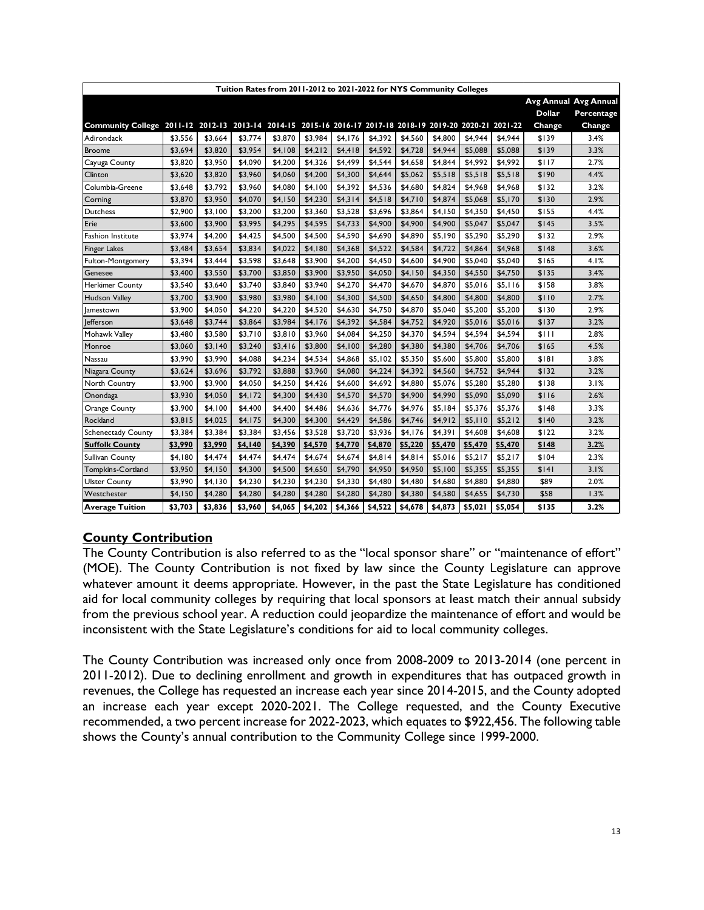| Tuition Rates from 2011-2012 to 2021-2022 for NYS Community Colleges                                      |         |         |         |         |         |         |         |         |         |         |         |               |                       |
|-----------------------------------------------------------------------------------------------------------|---------|---------|---------|---------|---------|---------|---------|---------|---------|---------|---------|---------------|-----------------------|
|                                                                                                           |         |         |         |         |         |         |         |         |         |         |         |               | Avg Annual Avg Annual |
|                                                                                                           |         |         |         |         |         |         |         |         |         |         |         | <b>Dollar</b> | Percentage            |
| Community College 2011-12 2012-13 2013-14 2014-15 2015-16 2016-17 2017-18 2018-19 2019-20 2020-21 2021-22 |         |         |         |         |         |         |         |         |         |         |         | Change        | Change                |
| Adirondack                                                                                                | \$3,556 | \$3,664 | \$3,774 | \$3,870 | \$3,984 | \$4,176 | \$4,392 | \$4,560 | \$4,800 | \$4,944 | \$4,944 | \$139         | 3.4%                  |
| <b>Broome</b>                                                                                             | \$3,694 | \$3,820 | \$3,954 | \$4,108 | \$4,212 | \$4,418 | \$4,592 | \$4,728 | \$4,944 | \$5,088 | \$5,088 | \$139         | 3.3%                  |
| Cayuga County                                                                                             | \$3,820 | \$3,950 | \$4,090 | \$4,200 | \$4,326 | \$4,499 | \$4,544 | \$4,658 | \$4,844 | \$4,992 | \$4,992 | \$117         | 2.7%                  |
| Clinton                                                                                                   | \$3,620 | \$3,820 | \$3,960 | \$4,060 | \$4,200 | \$4,300 | \$4,644 | \$5,062 | \$5,518 | \$5,518 | \$5,518 | \$190         | 4.4%                  |
| Columbia-Greene                                                                                           | \$3,648 | \$3,792 | \$3,960 | \$4,080 | \$4,100 | \$4,392 | \$4,536 | \$4,680 | \$4,824 | \$4,968 | \$4,968 | \$132         | 3.2%                  |
| Corning                                                                                                   | \$3,870 | \$3,950 | \$4,070 | \$4,150 | \$4,230 | \$4,314 | \$4,518 | \$4,710 | \$4,874 | \$5,068 | \$5,170 | \$130         | 2.9%                  |
| <b>Dutchess</b>                                                                                           | \$2,900 | \$3,100 | \$3,200 | \$3,200 | \$3,360 | \$3,528 | \$3,696 | \$3,864 | \$4,150 | \$4,350 | \$4,450 | \$155         | 4.4%                  |
| Erie                                                                                                      | \$3,600 | \$3,900 | \$3,995 | \$4,295 | \$4,595 | \$4,733 | \$4,900 | \$4,900 | \$4,900 | \$5,047 | \$5,047 | \$145         | 3.5%                  |
| Fashion Institute                                                                                         | \$3,974 | \$4,200 | \$4,425 | \$4,500 | \$4,500 | \$4,590 | \$4,690 | \$4,890 | \$5,190 | \$5,290 | \$5,290 | \$132         | 2.9%                  |
| <b>Finger Lakes</b>                                                                                       | \$3,484 | \$3,654 | \$3,834 | \$4,022 | \$4,180 | \$4,368 | \$4,522 | \$4,584 | \$4,722 | \$4,864 | \$4,968 | \$148         | 3.6%                  |
| Fulton-Montgomery                                                                                         | \$3,394 | \$3,444 | \$3,598 | \$3,648 | \$3,900 | \$4,200 | \$4,450 | \$4,600 | \$4,900 | \$5,040 | \$5,040 | \$165         | 4.1%                  |
| Genesee                                                                                                   | \$3,400 | \$3,550 | \$3,700 | \$3,850 | \$3,900 | \$3,950 | \$4,050 | \$4,150 | \$4,350 | \$4,550 | \$4,750 | \$135         | 3.4%                  |
| Herkimer County                                                                                           | \$3,540 | \$3,640 | \$3,740 | \$3,840 | \$3,940 | \$4,270 | \$4,470 | \$4,670 | \$4,870 | \$5,016 | \$5,116 | \$158         | 3.8%                  |
| Hudson Valley                                                                                             | \$3,700 | \$3,900 | \$3,980 | \$3,980 | \$4,100 | \$4,300 | \$4,500 | \$4,650 | \$4,800 | \$4,800 | \$4,800 | \$110         | 2.7%                  |
| amestown                                                                                                  | \$3,900 | \$4,050 | \$4,220 | \$4,220 | \$4,520 | \$4,630 | \$4,750 | \$4,870 | \$5,040 | \$5,200 | \$5,200 | \$130         | 2.9%                  |
| <b>Jefferson</b>                                                                                          | \$3,648 | \$3,744 | \$3,864 | \$3,984 | \$4,176 | \$4,392 | \$4,584 | \$4,752 | \$4,920 | \$5,016 | \$5,016 | \$137         | 3.2%                  |
| Mohawk Valley                                                                                             | \$3,480 | \$3,580 | \$3,710 | \$3,810 | \$3,960 | \$4,084 | \$4,250 | \$4,370 | \$4,594 | \$4,594 | \$4,594 | \$111         | 2.8%                  |
| Monroe                                                                                                    | \$3,060 | \$3,140 | \$3,240 | \$3,416 | \$3,800 | \$4,100 | \$4,280 | \$4,380 | \$4,380 | \$4,706 | \$4,706 | \$165         | 4.5%                  |
| Nassau                                                                                                    | \$3,990 | \$3,990 | \$4,088 | \$4,234 | \$4,534 | \$4,868 | \$5,102 | \$5,350 | \$5,600 | \$5,800 | \$5,800 | \$181         | 3.8%                  |
| Niagara County                                                                                            | \$3,624 | \$3,696 | \$3,792 | \$3,888 | \$3,960 | \$4,080 | \$4,224 | \$4,392 | \$4,560 | \$4,752 | \$4,944 | \$132         | 3.2%                  |
| North Country                                                                                             | \$3,900 | \$3,900 | \$4,050 | \$4,250 | \$4,426 | \$4,600 | \$4,692 | \$4,880 | \$5,076 | \$5,280 | \$5,280 | \$138         | 3.1%                  |
| Onondaga                                                                                                  | \$3,930 | \$4,050 | \$4,172 | \$4,300 | \$4,430 | \$4,570 | \$4,570 | \$4,900 | \$4,990 | \$5,090 | \$5,090 | \$116         | 2.6%                  |
| Orange County                                                                                             | \$3,900 | \$4,100 | \$4,400 | \$4,400 | \$4,486 | \$4,636 | \$4,776 | \$4,976 | \$5,184 | \$5,376 | \$5,376 | \$148         | 3.3%                  |
| Rockland                                                                                                  | \$3,815 | \$4,025 | \$4,175 | \$4,300 | \$4,300 | \$4,429 | \$4,586 | \$4,746 | \$4,912 | \$5,110 | \$5,212 | \$140         | 3.2%                  |
| <b>Schenectady County</b>                                                                                 | \$3,384 | \$3,384 | \$3,384 | \$3,456 | \$3,528 | \$3,720 | \$3,936 | \$4,176 | \$4,391 | \$4,608 | \$4,608 | \$122         | 3.2%                  |
| <b>Suffolk County</b>                                                                                     | \$3,990 | \$3,990 | \$4,140 | \$4,390 | \$4,570 | \$4,770 | \$4,870 | \$5,220 | \$5,470 | \$5,470 | \$5,470 | \$148         | 3.2%                  |
| Sullivan County                                                                                           | \$4,180 | \$4,474 | \$4,474 | \$4,474 | \$4,674 | \$4,674 | \$4,814 | \$4,814 | \$5,016 | \$5,217 | \$5,217 | \$104         | 2.3%                  |
| Tompkins-Cortland                                                                                         | \$3,950 | \$4,150 | \$4,300 | \$4,500 | \$4,650 | \$4,790 | \$4,950 | \$4,950 | \$5,100 | \$5,355 | \$5,355 | \$141         | 3.1%                  |
| <b>Ulster County</b>                                                                                      | \$3,990 | \$4,130 | \$4,230 | \$4,230 | \$4,230 | \$4,330 | \$4,480 | \$4,480 | \$4,680 | \$4,880 | \$4,880 | \$89          | 2.0%                  |
| Westchester                                                                                               | \$4,150 | \$4,280 | \$4,280 | \$4,280 | \$4,280 | \$4,280 | \$4,280 | \$4,380 | \$4,580 | \$4,655 | \$4,730 | \$58          | 1.3%                  |
| <b>Average Tuition</b>                                                                                    | \$3,703 | \$3,836 | \$3,960 | \$4,065 | \$4,202 | \$4,366 | \$4,522 | \$4,678 | \$4,873 | \$5,021 | \$5,054 | \$135         | 3.2%                  |

# **County Contribution**

The County Contribution is also referred to as the "local sponsor share" or "maintenance of effort" (MOE). The County Contribution is not fixed by law since the County Legislature can approve whatever amount it deems appropriate. However, in the past the State Legislature has conditioned aid for local community colleges by requiring that local sponsors at least match their annual subsidy from the previous school year. A reduction could jeopardize the maintenance of effort and would be inconsistent with the State Legislature's conditions for aid to local community colleges.

The County Contribution was increased only once from 2008-2009 to 2013-2014 (one percent in 2011-2012). Due to declining enrollment and growth in expenditures that has outpaced growth in revenues, the College has requested an increase each year since 2014-2015, and the County adopted an increase each year except 2020-2021. The College requested, and the County Executive recommended, a two percent increase for 2022-2023, which equates to \$922,456. The following table shows the County's annual contribution to the Community College since 1999-2000.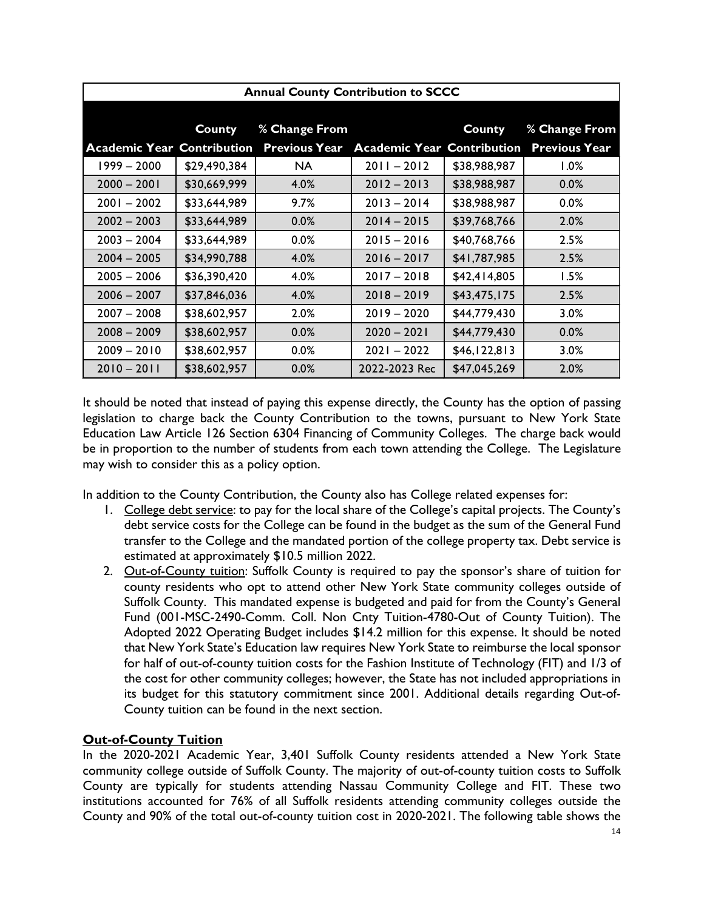|                                   |               | <b>Annual County Contribution to SCCC</b> |                                   |               |                      |
|-----------------------------------|---------------|-------------------------------------------|-----------------------------------|---------------|----------------------|
|                                   |               |                                           |                                   |               |                      |
|                                   | <b>County</b> | % Change From                             |                                   | <b>County</b> | % Change From        |
| <b>Academic Year Contribution</b> |               | <b>Previous Year</b>                      | <b>Academic Year Contribution</b> |               | <b>Previous Year</b> |
| 1999 – 2000                       | \$29,490,384  | NA.                                       | $2011 - 2012$                     | \$38,988,987  | 1.0%                 |
| $2000 - 2001$                     | \$30,669,999  | 4.0%                                      | $2012 - 2013$                     | \$38,988,987  | 0.0%                 |
| $2001 - 2002$                     | \$33,644,989  | 9.7%                                      | $2013 - 2014$                     | \$38,988,987  | 0.0%                 |
| $2002 - 2003$                     | \$33,644,989  | 0.0%                                      | $2014 - 2015$                     | \$39,768,766  | 2.0%                 |
| $2003 - 2004$                     | \$33,644,989  | $0.0\%$                                   | $2015 - 2016$                     | \$40,768,766  | 2.5%                 |
| $2004 - 2005$                     | \$34,990,788  | 4.0%                                      | $2016 - 2017$                     | \$41,787,985  | 2.5%                 |
| $2005 - 2006$                     | \$36,390,420  | 4.0%                                      | $2017 - 2018$                     | \$42,414,805  | 1.5%                 |
| $2006 - 2007$                     | \$37,846,036  | 4.0%                                      | $2018 - 2019$                     | \$43,475,175  | 2.5%                 |
| $2007 - 2008$                     | \$38,602,957  | 2.0%                                      | $2019 - 2020$                     | \$44,779,430  | 3.0%                 |
| $2008 - 2009$                     | \$38,602,957  | 0.0%                                      | $2020 - 2021$                     | \$44,779,430  | 0.0%                 |
| $2009 - 2010$                     | \$38,602,957  | 0.0%                                      | $2021 - 2022$                     | \$46,122,813  | 3.0%                 |
| $2010 - 2011$                     | \$38,602,957  | 0.0%                                      | 2022-2023 Rec                     | \$47,045,269  | 2.0%                 |

It should be noted that instead of paying this expense directly, the County has the option of passing legislation to charge back the County Contribution to the towns, pursuant to New York State Education Law Article 126 Section 6304 Financing of Community Colleges. The charge back would be in proportion to the number of students from each town attending the College. The Legislature may wish to consider this as a policy option.

In addition to the County Contribution, the County also has College related expenses for:

- 1. College debt service: to pay for the local share of the College's capital projects. The County's debt service costs for the College can be found in the budget as the sum of the General Fund transfer to the College and the mandated portion of the college property tax. Debt service is estimated at approximately \$10.5 million 2022.
- 2. Out-of-County tuition: Suffolk County is required to pay the sponsor's share of tuition for county residents who opt to attend other New York State community colleges outside of Suffolk County. This mandated expense is budgeted and paid for from the County's General Fund (001-MSC-2490-Comm. Coll. Non Cnty Tuition-4780-Out of County Tuition). The Adopted 2022 Operating Budget includes \$14.2 million for this expense. It should be noted that New York State's Education law requires New York State to reimburse the local sponsor for half of out-of-county tuition costs for the Fashion Institute of Technology (FIT) and 1/3 of the cost for other community colleges; however, the State has not included appropriations in its budget for this statutory commitment since 2001. Additional details regarding Out-of-County tuition can be found in the next section.

# **Out-of-County Tuition**

In the 2020-2021 Academic Year, 3,401 Suffolk County residents attended a New York State community college outside of Suffolk County. The majority of out-of-county tuition costs to Suffolk County are typically for students attending Nassau Community College and FIT. These two institutions accounted for 76% of all Suffolk residents attending community colleges outside the County and 90% of the total out-of-county tuition cost in 2020-2021. The following table shows the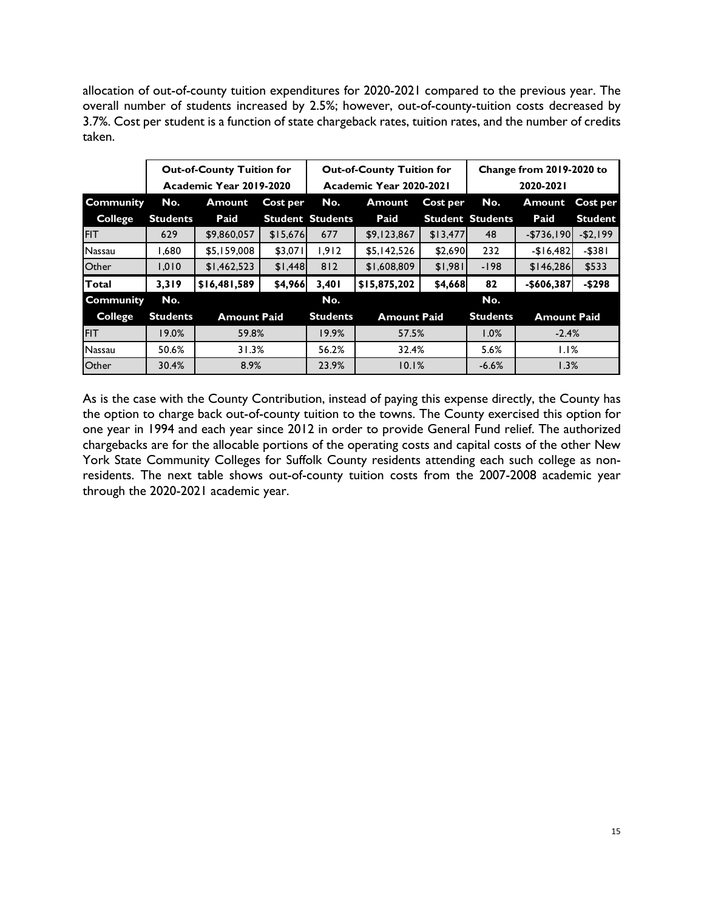allocation of out-of-county tuition expenditures for 2020-2021 compared to the previous year. The overall number of students increased by 2.5%; however, out-of-county-tuition costs decreased by 3.7%. Cost per student is a function of state chargeback rates, tuition rates, and the number of credits taken.

|                  |                 | <b>Out-of-County Tuition for</b> |          |                         | <b>Out-of-County Tuition for</b> |          | Change from 2019-2020 to |                    |                |
|------------------|-----------------|----------------------------------|----------|-------------------------|----------------------------------|----------|--------------------------|--------------------|----------------|
|                  |                 | Academic Year 2019-2020          |          |                         | Academic Year 2020-2021          |          |                          | 2020-2021          |                |
| <b>Community</b> | No.             | Amount                           | Cost per | No.                     | <b>Amount</b>                    | Cost per | No.                      | <b>Amount</b>      | Cost per       |
| <b>College</b>   | <b>Students</b> | Paid                             |          | <b>Student Students</b> | Paid                             |          | <b>Student Students</b>  | Paid               | <b>Student</b> |
| <b>FIT</b>       | 629             | \$9,860,057                      | \$15,676 | 677                     | \$9,123,867                      | \$13,477 | 48                       | $-$736,190$        | $-52,199$      |
| Nassau           | 1,680           | \$5,159,008                      | \$3,071  | 1.912                   | \$5,142,526                      | \$2,690  | 232                      | $-$16,482$         | $-$ \$381      |
| Other            | 1,010           | \$1,462,523                      | \$1,448  | 812                     | \$1,608,809                      | \$1,981  | $-198$                   | \$146,286          | \$533          |
| Total            | 3,319           | \$16,481,589                     | \$4,966  | 3,401                   | \$15,875,202                     | \$4,668  | 82                       | -\$606,387         | $-5298$        |
| <b>Community</b> | No.             |                                  |          | No.                     |                                  |          | No.                      |                    |                |
| <b>College</b>   | <b>Students</b> | <b>Amount Paid</b>               |          | <b>Students</b>         | <b>Amount Paid</b>               |          | <b>Students</b>          | <b>Amount Paid</b> |                |
| <b>FIT</b>       | 19.0%           | 59.8%                            |          | 19.9%                   | 57.5%                            |          | 1.0%                     | $-2.4%$            |                |
| Nassau           | 50.6%           | 31.3%                            |          | 56.2%                   | 32.4%                            |          | 5.6%                     | 1.1%               |                |
| <b>Other</b>     | 30.4%           | 8.9%                             |          | 23.9%                   | 10.1%                            |          | $-6.6%$                  | 1.3%               |                |

As is the case with the County Contribution, instead of paying this expense directly, the County has the option to charge back out-of-county tuition to the towns. The County exercised this option for one year in 1994 and each year since 2012 in order to provide General Fund relief. The authorized chargebacks are for the allocable portions of the operating costs and capital costs of the other New York State Community Colleges for Suffolk County residents attending each such college as nonresidents. The next table shows out-of-county tuition costs from the 2007-2008 academic year through the 2020-2021 academic year.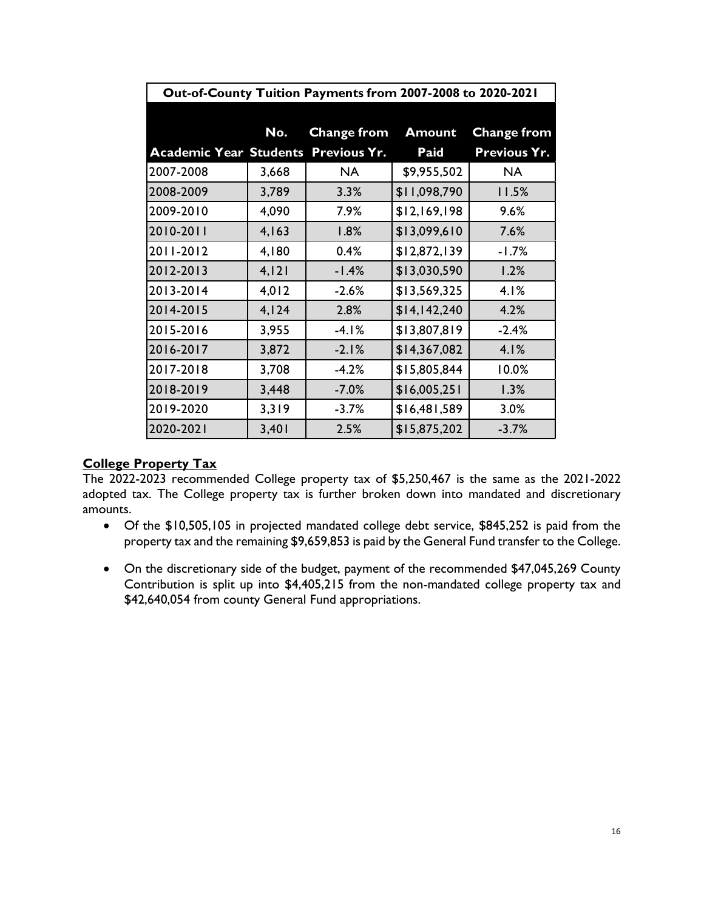| Out-of-County Tuition Payments from 2007-2008 to 2020-2021 |       |                     |               |                     |  |  |
|------------------------------------------------------------|-------|---------------------|---------------|---------------------|--|--|
|                                                            |       |                     |               |                     |  |  |
|                                                            | No.   | <b>Change from</b>  | <b>Amount</b> | <b>Change from</b>  |  |  |
| <b>Academic Year Students</b>                              |       | <b>Previous Yr.</b> | <b>Paid</b>   | <b>Previous Yr.</b> |  |  |
| 2007-2008                                                  | 3,668 | <b>NA</b>           | \$9,955,502   | <b>NA</b>           |  |  |
| 2008-2009                                                  | 3,789 | 3.3%                | \$11,098,790  | 11.5%               |  |  |
| 2009-2010                                                  | 4,090 | 7.9%                | \$12,169,198  | 9.6%                |  |  |
| 2010-2011                                                  | 4,163 | 1.8%                | \$13,099,610  | 7.6%                |  |  |
| 2011-2012                                                  | 4,180 | 0.4%                | \$12,872,139  | $-1.7%$             |  |  |
| 2012-2013                                                  | 4,121 | $-1.4%$             | \$13,030,590  | 1.2%                |  |  |
| 2013-2014                                                  | 4,012 | $-2.6%$             | \$13,569,325  | 4.1%                |  |  |
| 2014-2015                                                  | 4,124 | 2.8%                | \$14,142,240  | 4.2%                |  |  |
| 2015-2016                                                  | 3,955 | $-4.1%$             | \$13,807,819  | $-2.4%$             |  |  |
| 2016-2017                                                  | 3,872 | $-2.1%$             | \$14,367,082  | 4.1%                |  |  |
| 2017-2018                                                  | 3,708 | $-4.2%$             | \$15,805,844  | 10.0%               |  |  |
| 2018-2019                                                  | 3,448 | $-7.0%$             | \$16,005,251  | 1.3%                |  |  |
| 2019-2020                                                  | 3,319 | $-3.7%$             | \$16,481,589  | 3.0%                |  |  |
| 2020-2021                                                  | 3,401 | 2.5%                | \$15,875,202  | $-3.7%$             |  |  |

### **College Property Tax**

The 2022-2023 recommended College property tax of \$5,250,467 is the same as the 2021-2022 adopted tax. The College property tax is further broken down into mandated and discretionary amounts.

- Of the \$10,505,105 in projected mandated college debt service, \$845,252 is paid from the property tax and the remaining \$9,659,853 is paid by the General Fund transfer to the College.
- On the discretionary side of the budget, payment of the recommended \$47,045,269 County Contribution is split up into \$4,405,215 from the non-mandated college property tax and \$42,640,054 from county General Fund appropriations.